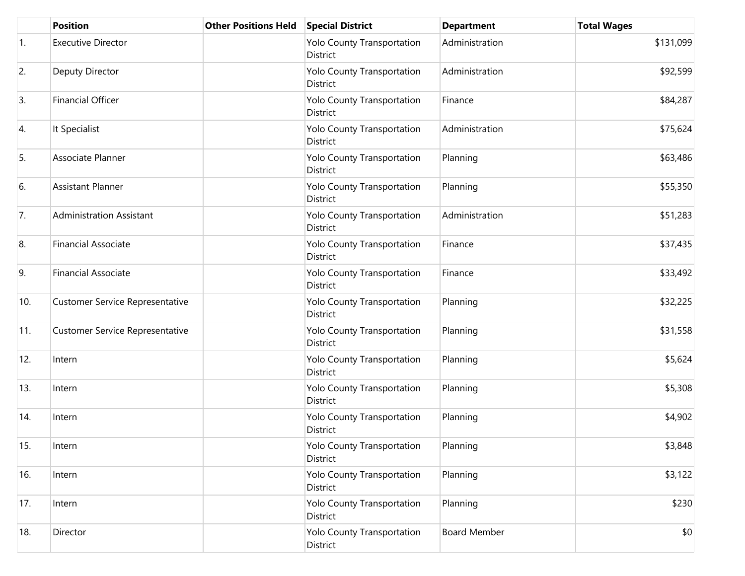|     | <b>Position</b>                        | <b>Other Positions Held</b> | <b>Special District</b>                       | <b>Department</b>   | <b>Total Wages</b> |
|-----|----------------------------------------|-----------------------------|-----------------------------------------------|---------------------|--------------------|
| 1.  | <b>Executive Director</b>              |                             | Yolo County Transportation<br>District        | Administration      | \$131,099          |
| 2.  | Deputy Director                        |                             | Yolo County Transportation<br>District        | Administration      | \$92,599           |
| 3.  | <b>Financial Officer</b>               |                             | Yolo County Transportation<br>District        | Finance             | \$84,287           |
| 4.  | It Specialist                          |                             | Yolo County Transportation<br>District        | Administration      | \$75,624           |
| 5.  | Associate Planner                      |                             | <b>Yolo County Transportation</b><br>District | Planning            | \$63,486           |
| 6.  | <b>Assistant Planner</b>               |                             | Yolo County Transportation<br>District        | Planning            | \$55,350           |
| 7.  | <b>Administration Assistant</b>        |                             | Yolo County Transportation<br>District        | Administration      | \$51,283           |
| 8.  | <b>Financial Associate</b>             |                             | Yolo County Transportation<br>District        | Finance             | \$37,435           |
| 9.  | <b>Financial Associate</b>             |                             | Yolo County Transportation<br>District        | Finance             | \$33,492           |
| 10. | <b>Customer Service Representative</b> |                             | Yolo County Transportation<br>District        | Planning            | \$32,225           |
| 11. | <b>Customer Service Representative</b> |                             | Yolo County Transportation<br>District        | Planning            | \$31,558           |
| 12. | Intern                                 |                             | <b>Yolo County Transportation</b><br>District | Planning            | \$5,624            |
| 13. | Intern                                 |                             | Yolo County Transportation<br>District        | Planning            | \$5,308            |
| 14. | Intern                                 |                             | Yolo County Transportation<br>District        | Planning            | \$4,902            |
| 15. | Intern                                 |                             | Yolo County Transportation<br>District        | Planning            | \$3,848            |
| 16. | Intern                                 |                             | <b>Yolo County Transportation</b><br>District | Planning            | \$3,122            |
| 17. | Intern                                 |                             | Yolo County Transportation<br>District        | Planning            | \$230              |
| 18. | Director                               |                             | Yolo County Transportation<br>District        | <b>Board Member</b> | \$0                |